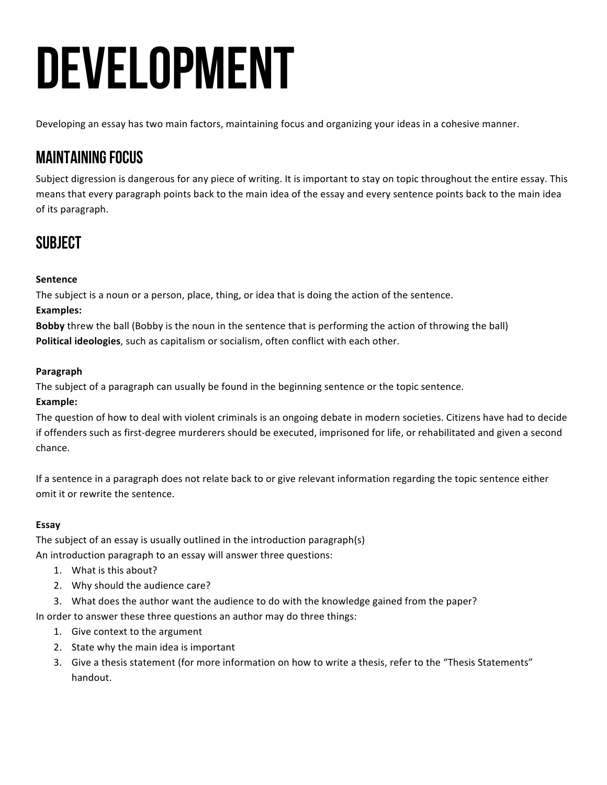# **DEVELOPMENT**

Developing an essay has two main factors, maintaining focus and organizing your ideas in a cohesive manner.

## Maintaining Focus

Subject digression is dangerous for any piece of writing. It is important to stay on topic throughout the entire essay. This means that every paragraph points back to the main idea of the essay and every sentence points back to the main idea of its paragraph.

# **SUBJECT**

#### **Sentence**

The subject is a noun or a person, place, thing, or idea that is doing the action of the sentence.

#### **Examples:**

**Bobby** threw the ball (Bobby is the noun in the sentence that is performing the action of throwing the ball) **Political ideologies**, such as capitalism or socialism, often conflict with each other.

#### **Paragraph**

The subject of a paragraph can usually be found in the beginning sentence or the topic sentence.

#### **Example:**

The question of how to deal with violent criminals is an ongoing debate in modern societies. Citizens have had to decide if offenders such as first-degree murderers should be executed, imprisoned for life, or rehabilitated and given a second chance. 

If a sentence in a paragraph does not relate back to or give relevant information regarding the topic sentence either omit it or rewrite the sentence.

#### **Essay**

The subject of an essay is usually outlined in the introduction paragraph(s)

An introduction paragraph to an essay will answer three questions:

- 1. What is this about?
- 2. Why should the audience care?
- 3. What does the author want the audience to do with the knowledge gained from the paper?

In order to answer these three questions an author may do three things:

- 1. Give context to the argument
- 2. State why the main idea is important
- 3. Give a thesis statement (for more information on how to write a thesis, refer to the "Thesis Statements" handout.